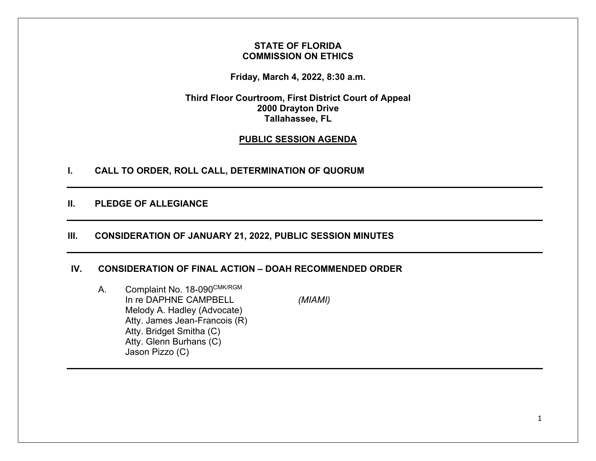## **STATE OF FLORIDA COMMISSION ON ETHICS**

**Friday, March 4, 2022, 8:30 a.m.** 

**Third Floor Courtroom, First District Court of Appeal 2000 Drayton Drive Tallahassee, FL** 

# **PUBLIC SESSION AGENDA**

**I. CALL TO ORDER, ROLL CALL, DETERMINATION OF QUORUM** 

**II. PLEDGE OF ALLEGIANCE** 

# **III. CONSIDERATION OF JANUARY 21, 2022, PUBLIC SESSION MINUTES**

## **IV. CONSIDERATION OF FINAL ACTION – DOAH RECOMMENDED ORDER**

A. Complaint No. 18-090CMK/RGM In re DAPHNE CAMPBELL *(MIAMI)* Melody A. Hadley (Advocate) Atty. James Jean-Francois (R) Atty. Bridget Smitha (C) Atty. Glenn Burhans (C) Jason Pizzo (C)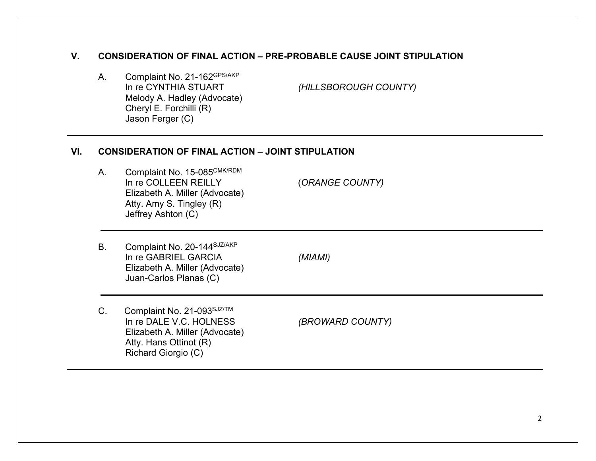# **V. CONSIDERATION OF FINAL ACTION – PRE-PROBABLE CAUSE JOINT STIPULATION**

A. Complaint No. 21-162<sup>GPS/AKP</sup><br>In re CYNTHIA STUART Melody A. Hadley (Advocate) Cheryl E. Forchilli (R) Jason Ferger (C)

*(HILLSBOROUGH COUNTY)* 

#### **VI. CONSIDERATION OF FINAL ACTION – JOINT STIPULATION**

- A. Complaint No. 15-085CMK/RDM In re COLLEEN REILLY (*ORANGE COUNTY)* Elizabeth A. Miller (Advocate) Atty. Amy S. Tingley (R) Jeffrey Ashton (C)
- B. Complaint No. 20-144SJZ/AKP In re GABRIEL GARCIA *(MIAMI)* Elizabeth A. Miller (Advocate) Juan-Carlos Planas (C)

C. Complaint No. 21-093SJZ/TM In re DALE V.C. HOLNESS *(BROWARD COUNTY)* Elizabeth A. Miller (Advocate) Atty. Hans Ottinot (R) Richard Giorgio (C)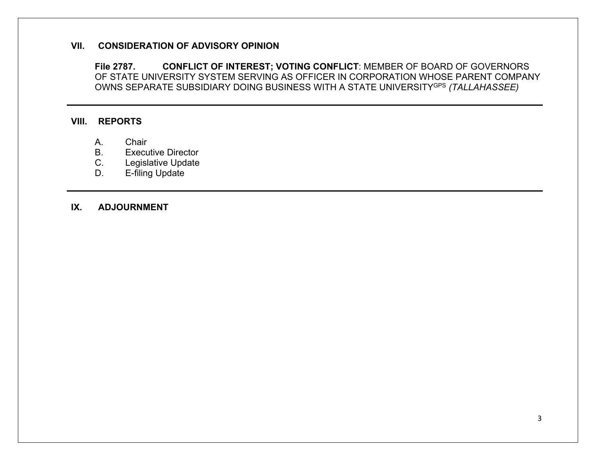### **VII. CONSIDERATION OF ADVISORY OPINION**

**File 2787. CONFLICT OF INTEREST; VOTING CONFLICT**: MEMBER OF BOARD OF GOVERNORS OF STATE UNIVERSITY SYSTEM SERVING AS OFFICER IN CORPORATION WHOSE PARENT COMPANY OWNS SEPARATE SUBSIDIARY DOING BUSINESS WITH A STATE UNIVERSITYGPS *(TALLAHASSEE)* 

## **VIII. REPORTS**

- A. Chair
- B. Executive Director
- C. Legislative Update
- D. E-filing Update

## **IX. ADJOURNMENT**